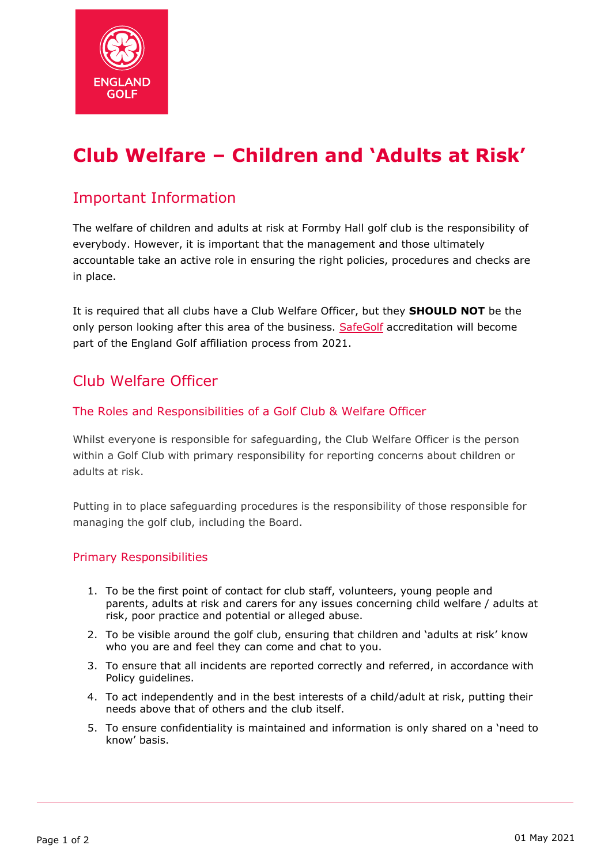

# **Club Welfare – Children and 'Adults at Risk'**

## Important Information

The welfare of children and adults at risk at Formby Hall golf club is the responsibility of everybody. However, it is important that the management and those ultimately accountable take an active role in ensuring the right policies, procedures and checks are in place.

It is required that all clubs have a Club Welfare Officer, but they **SHOULD NOT** be the only person looking after this area of the business. [SafeGolf](https://www.englandgolf.org/article/be-a-safegolf-club/) accreditation will become part of the England Golf affiliation process from 2021.

## Club Welfare Officer

### The Roles and Responsibilities of a Golf Club & Welfare Officer

Whilst everyone is responsible for safeguarding, the Club Welfare Officer is the person within a Golf Club with primary responsibility for reporting concerns about children or adults at risk.

Putting in to place safeguarding procedures is the responsibility of those responsible for managing the golf club, including the Board.

#### Primary Responsibilities

- 1. To be the first point of contact for club staff, volunteers, young people and parents, adults at risk and carers for any issues concerning child welfare / adults at risk, poor practice and potential or alleged abuse.
- 2. To be visible around the golf club, ensuring that children and 'adults at risk' know who you are and feel they can come and chat to you.
- 3. To ensure that all incidents are reported correctly and referred, in accordance with Policy guidelines.
- 4. To act independently and in the best interests of a child/adult at risk, putting their needs above that of others and the club itself.
- 5. To ensure confidentiality is maintained and information is only shared on a 'need to know' basis.